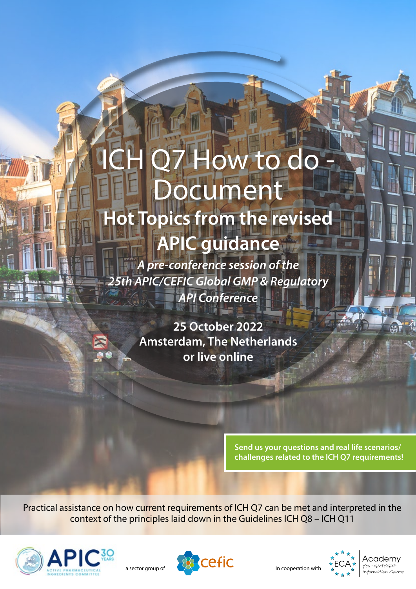# ICH Q7 How to do ocument **Hot Topics from the revised APIC guidance**

*A pre-conference session of the 25th APIC/CEFIC Global GMP & Regulatory API Conference*

> **25 October 2022 Amsterdam, The Netherlands or live online**

> > **Send us your questions and real life scenarios/ challenges related to the ICH Q7 requirements!**

Practical assistance on how current requirements of ICH Q7 can be met and interpreted in the context of the principles laid down in the Guidelines ICH Q8 – ICH Q11





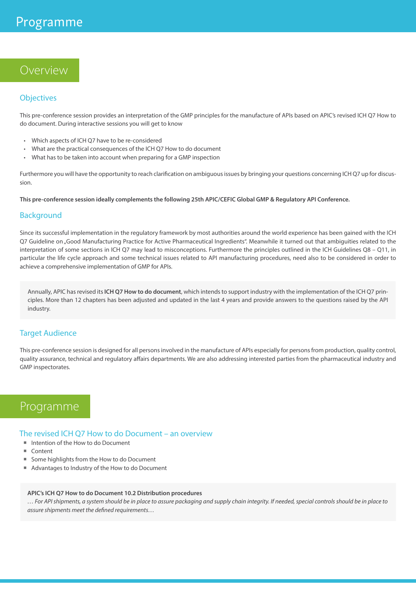## Overview

#### **Objectives**

This pre-conference session provides an interpretation of the GMP principles for the manufacture of APIs based on APIC's revised ICH Q7 How to do document. During interactive sessions you will get to know

- Which aspects of ICH Q7 have to be re-considered
- What are the practical consequences of the ICH Q7 How to do document
- What has to be taken into account when preparing for a GMP inspection

Furthermore you will have the opportunity to reach clarification on ambiguous issues by bringing your questions concerning ICH Q7 up for discussion.

**This pre-conference session ideally complements the following 25th APIC/CEFIC Global GMP & Regulatory API Conference.**

#### Background

Since its successful implementation in the regulatory framework by most authorities around the world experience has been gained with the ICH Q7 Guideline on "Good Manufacturing Practice for Active Pharmaceutical Ingredients". Meanwhile it turned out that ambiguities related to the interpretation of some sections in ICH Q7 may lead to misconceptions. Furthermore the principles outlined in the ICH Guidelines Q8 – Q11, in particular the life cycle approach and some technical issues related to API manufacturing procedures, need also to be considered in order to achieve a comprehensive implementation of GMP for APIs.

Annually, APIC has revised its **ICH Q7 How to do document**, which intends to support industry with the implementation of the ICH Q7 principles. More than 12 chapters has been adjusted and updated in the last 4 years and provide answers to the questions raised by the API industry.

#### **Target Audience**

This pre-conference session is designed for all persons involved in the manufacture of APIs especially for persons from production, quality control, quality assurance, technical and regulatory affairs departments. We are also addressing interested parties from the pharmaceutical industry and GMP inspectorates.

# Programme

The revised ICH Q7 How to do Document – an overview

- Intention of the How to do Document
- $C_{\text{on}}$
- Some highlights from the How to do Document
- Advantages to Industry of the How to do Document

#### **APIC's ICH Q7 How to do Document 10.2 Distribution procedures** *… For API shipments, a system should be in place to assure packaging and supply chain integrity. If needed, special controls should be in place to assure shipments meet the defined requirements…*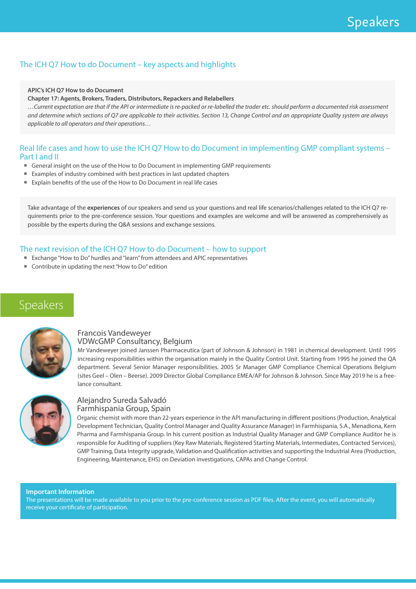## The ICH Q7 How to do Document – key aspects and highlights

#### **APIC's ICH Q7 How to do Document**

#### **Chapter 17: Agents, Brokers, Traders, Distributors, Repackers and Relabellers**

*…Current expectation are that if the API or intermediate is re-packed or re-labelled the trader etc. should perform a documented risk assessment and determine which sections of Q7 are applicable to their activities. Section 13, Change Control and an appropriate Quality system are always applicable to all operators and their operations…*

#### Real life cases and how to use the ICH Q7 How to do Document in implementing GMP compliant systems -Part I and II

- General insight on the use of the How to Do Document in implementing GMP requirements
- Examples of industry combined with best practices in last updated chapters
- Explain benefits of the use of the How to Do Document in real life cases

Take advantage of the **experiences** of our speakers and send us your questions and real life scenarios/challenges related to the ICH Q7 requirements prior to the pre-conference session. Your questions and examples are welcome and will be answered as comprehensively as possible by the experts during the Q&A sessions and exchange sessions.

### The next revision of the ICH Q7 How to do Document – how to support

- Exchange "How to Do" hurdles and "learn" from attendees and APIC representatives
- Contribute in updating the next "How to Do" edition

# Speakers



#### Francois Vandeweyer VDWcGMP Consultancy, Belgium

Mr Vandeweyer joined Janssen Pharmaceutica (part of Johnson & Johnson) in 1981 in chemical development. Until 1995 increasing responsibilities within the organisation mainly in the Quality Control Unit. Starting from 1995 he joined the QA department. Several Senior Manager responsibilities. 2005 Sr Manager GMP Compliance Chemical Operations Belgium (sites Geel – Olen – Beerse). 2009 Director Global Compliance EMEA/AP for Johnson & Johnson. Since May 2019 he is a freelance consultant.



#### Alejandro Sureda Salvadó Farmhispania Group, Spain

Organic chemist with more than 22-years experience in the API manufacturing in different positions (Production, Analytical Development Technician, Quality Control Manager and Quality Assurance Manager) in Farmhispania, S.A., Menadiona, Kern Pharma and Farmhispania Group. In his current position as Industrial Quality Manager and GMP Compliance Auditor he is responsible for Auditing of suppliers (Key Raw Materials, Registered Starting Materials, Intermediates, Contracted Services), GMP Training, Data Integrity upgrade, Validation and Qualification activities and supporting the Industrial Area (Production, Engineering, Maintenance, EHS) on Deviation investigations, CAPAs and Change Control.

#### **Important Information**

The presentations will be made available to you prior to the pre-conference session as PDF files. After the event, you will automatically receive your certificate of participation.